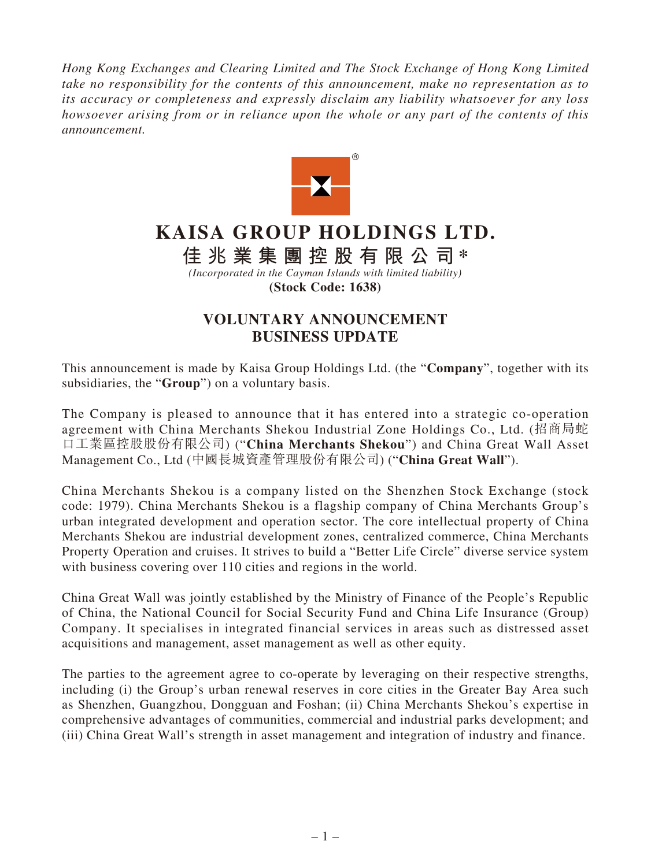*Hong Kong Exchanges and Clearing Limited and The Stock Exchange of Hong Kong Limited take no responsibility for the contents of this announcement, make no representation as to its accuracy or completeness and expressly disclaim any liability whatsoever for any loss howsoever arising from or in reliance upon the whole or any part of the contents of this announcement.*



## **KAISA GROUP HOLDINGS LTD.**

**佳兆業集團控股有限公司 \***

*(Incorporated in the Cayman Islands with limited liability)* **(Stock Code: 1638)**

## **VOLUNTARY ANNOUNCEMENT BUSINESS UPDATE**

This announcement is made by Kaisa Group Holdings Ltd. (the "**Company**", together with its subsidiaries, the "**Group**") on a voluntary basis.

The Company is pleased to announce that it has entered into a strategic co-operation agreement with China Merchants Shekou Industrial Zone Holdings Co., Ltd. (招商局蛇 口工業區控股股份有限公司) ("**China Merchants Shekou**") and China Great Wall Asset Management Co., Ltd (中國長城資產管理股份有限公司) ("**China Great Wall**").

China Merchants Shekou is a company listed on the Shenzhen Stock Exchange (stock code: 1979). China Merchants Shekou is a flagship company of China Merchants Group's urban integrated development and operation sector. The core intellectual property of China Merchants Shekou are industrial development zones, centralized commerce, China Merchants Property Operation and cruises. It strives to build a "Better Life Circle" diverse service system with business covering over 110 cities and regions in the world.

China Great Wall was jointly established by the Ministry of Finance of the People's Republic of China, the National Council for Social Security Fund and China Life Insurance (Group) Company. It specialises in integrated financial services in areas such as distressed asset acquisitions and management, asset management as well as other equity.

The parties to the agreement agree to co-operate by leveraging on their respective strengths, including (i) the Group's urban renewal reserves in core cities in the Greater Bay Area such as Shenzhen, Guangzhou, Dongguan and Foshan; (ii) China Merchants Shekou's expertise in comprehensive advantages of communities, commercial and industrial parks development; and (iii) China Great Wall's strength in asset management and integration of industry and finance.